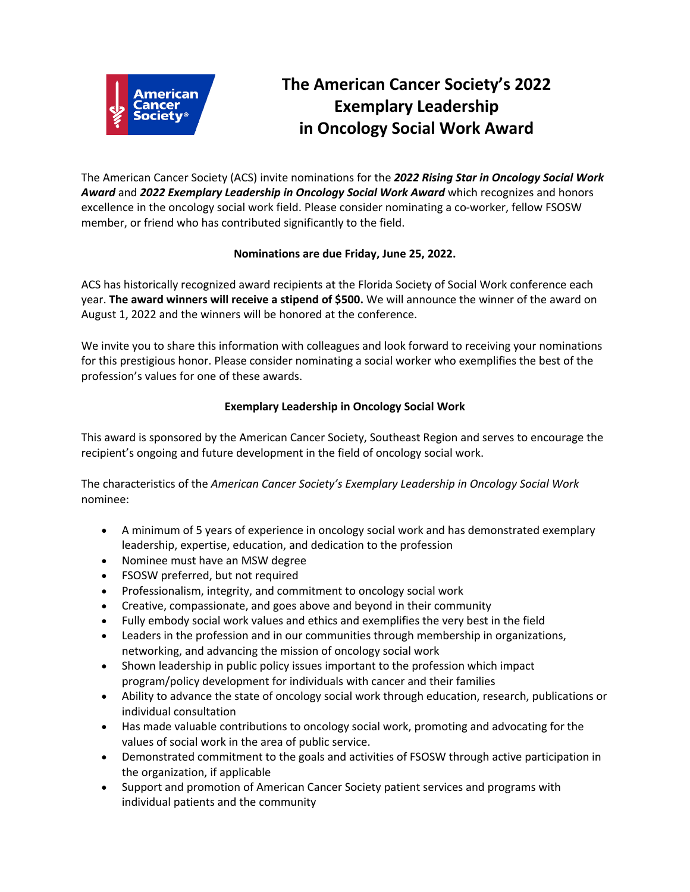

# **The American Cancer Society's 2022 Exemplary Leadership in Oncology Social Work Award**

The American Cancer Society (ACS) invite nominations for the *2022 Rising Star in Oncology Social Work Award* and *2022 Exemplary Leadership in Oncology Social Work Award* which recognizes and honors excellence in the oncology social work field. Please consider nominating a co-worker, fellow FSOSW member, or friend who has contributed significantly to the field.

## **Nominations are due Friday, June 25, 2022.**

ACS has historically recognized award recipients at the Florida Society of Social Work conference each year. **The award winners will receive a stipend of \$500.** We will announce the winner of the award on August 1, 2022 and the winners will be honored at the conference.

We invite you to share this information with colleagues and look forward to receiving your nominations for this prestigious honor. Please consider nominating a social worker who exemplifies the best of the profession's values for one of these awards.

## **Exemplary Leadership in Oncology Social Work**

This award is sponsored by the American Cancer Society, Southeast Region and serves to encourage the recipient's ongoing and future development in the field of oncology social work.

The characteristics of the *American Cancer Society's Exemplary Leadership in Oncology Social Work* nominee:

- A minimum of 5 years of experience in oncology social work and has demonstrated exemplary leadership, expertise, education, and dedication to the profession
- Nominee must have an MSW degree
- FSOSW preferred, but not required
- Professionalism, integrity, and commitment to oncology social work
- Creative, compassionate, and goes above and beyond in their community
- Fully embody social work values and ethics and exemplifies the very best in the field
- Leaders in the profession and in our communities through membership in organizations, networking, and advancing the mission of oncology social work
- Shown leadership in public policy issues important to the profession which impact program/policy development for individuals with cancer and their families
- Ability to advance the state of oncology social work through education, research, publications or individual consultation
- Has made valuable contributions to oncology social work, promoting and advocating for the values of social work in the area of public service.
- Demonstrated commitment to the goals and activities of FSOSW through active participation in the organization, if applicable
- Support and promotion of American Cancer Society patient services and programs with individual patients and the community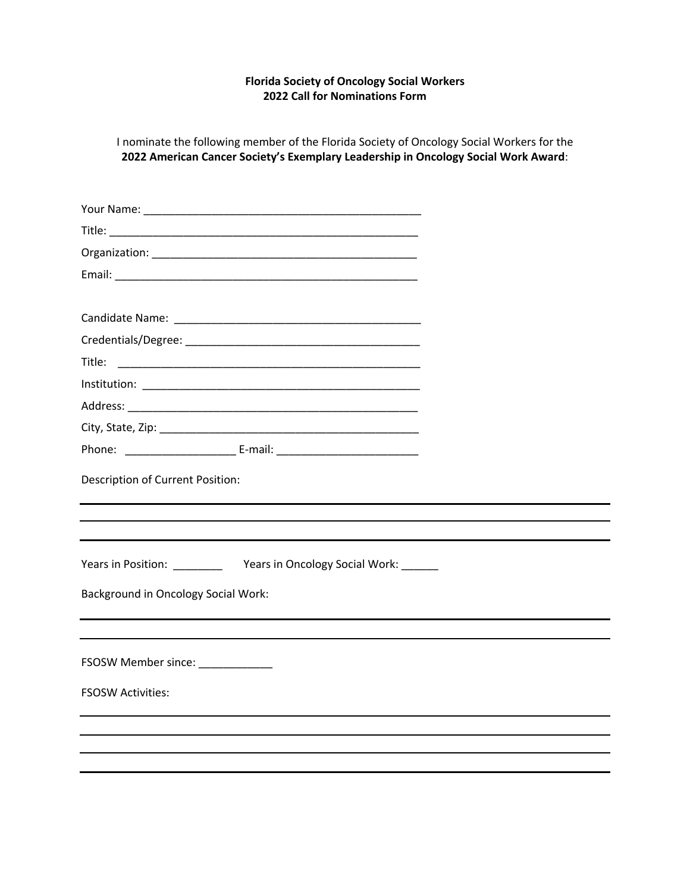#### **Florida Society of Oncology Social Workers 2022 Call for Nominations Form**

I nominate the following member of the Florida Society of Oncology Social Workers for the **2022 American Cancer Society's Exemplary Leadership in Oncology Social Work Award**:

| Title:                                     |  |
|--------------------------------------------|--|
|                                            |  |
|                                            |  |
|                                            |  |
|                                            |  |
| Description of Current Position:           |  |
|                                            |  |
|                                            |  |
| <b>Background in Oncology Social Work:</b> |  |
| FSOSW Member since: ____________           |  |
| <b>FSOSW Activities:</b>                   |  |
|                                            |  |
|                                            |  |
|                                            |  |